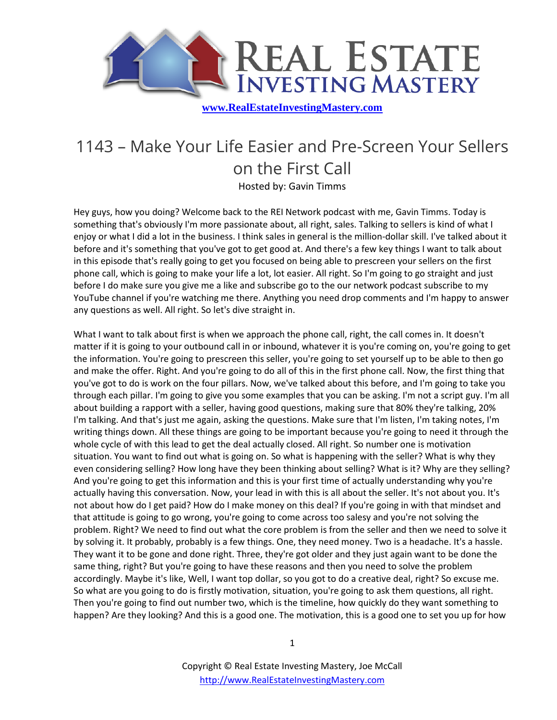

## 1143 – Make Your Life Easier and Pre-Screen Your Sellers on the First Call

Hosted by: Gavin Timms

Hey guys, how you doing? Welcome back to the REI Network podcast with me, Gavin Timms. Today is something that's obviously I'm more passionate about, all right, sales. Talking to sellers is kind of what I enjoy or what I did a lot in the business. I think sales in general is the million-dollar skill. I've talked about it before and it's something that you've got to get good at. And there's a few key things I want to talk about in this episode that's really going to get you focused on being able to prescreen your sellers on the first phone call, which is going to make your life a lot, lot easier. All right. So I'm going to go straight and just before I do make sure you give me a like and subscribe go to the our network podcast subscribe to my YouTube channel if you're watching me there. Anything you need drop comments and I'm happy to answer any questions as well. All right. So let's dive straight in.

What I want to talk about first is when we approach the phone call, right, the call comes in. It doesn't matter if it is going to your outbound call in or inbound, whatever it is you're coming on, you're going to get the information. You're going to prescreen this seller, you're going to set yourself up to be able to then go and make the offer. Right. And you're going to do all of this in the first phone call. Now, the first thing that you've got to do is work on the four pillars. Now, we've talked about this before, and I'm going to take you through each pillar. I'm going to give you some examples that you can be asking. I'm not a script guy. I'm all about building a rapport with a seller, having good questions, making sure that 80% they're talking, 20% I'm talking. And that's just me again, asking the questions. Make sure that I'm listen, I'm taking notes, I'm writing things down. All these things are going to be important because you're going to need it through the whole cycle of with this lead to get the deal actually closed. All right. So number one is motivation situation. You want to find out what is going on. So what is happening with the seller? What is why they even considering selling? How long have they been thinking about selling? What is it? Why are they selling? And you're going to get this information and this is your first time of actually understanding why you're actually having this conversation. Now, your lead in with this is all about the seller. It's not about you. It's not about how do I get paid? How do I make money on this deal? If you're going in with that mindset and that attitude is going to go wrong, you're going to come across too salesy and you're not solving the problem. Right? We need to find out what the core problem is from the seller and then we need to solve it by solving it. It probably, probably is a few things. One, they need money. Two is a headache. It's a hassle. They want it to be gone and done right. Three, they're got older and they just again want to be done the same thing, right? But you're going to have these reasons and then you need to solve the problem accordingly. Maybe it's like, Well, I want top dollar, so you got to do a creative deal, right? So excuse me. So what are you going to do is firstly motivation, situation, you're going to ask them questions, all right. Then you're going to find out number two, which is the timeline, how quickly do they want something to happen? Are they looking? And this is a good one. The motivation, this is a good one to set you up for how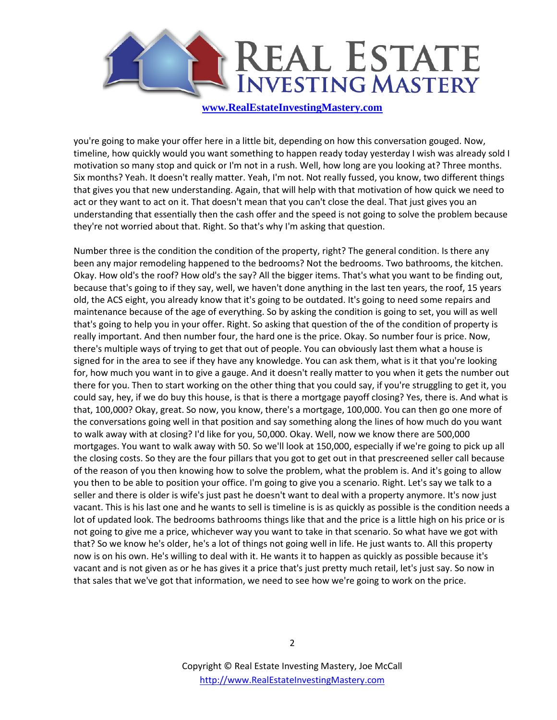

you're going to make your offer here in a little bit, depending on how this conversation gouged. Now, timeline, how quickly would you want something to happen ready today yesterday I wish was already sold I motivation so many stop and quick or I'm not in a rush. Well, how long are you looking at? Three months. Six months? Yeah. It doesn't really matter. Yeah, I'm not. Not really fussed, you know, two different things that gives you that new understanding. Again, that will help with that motivation of how quick we need to act or they want to act on it. That doesn't mean that you can't close the deal. That just gives you an understanding that essentially then the cash offer and the speed is not going to solve the problem because they're not worried about that. Right. So that's why I'm asking that question.

Number three is the condition the condition of the property, right? The general condition. Is there any been any major remodeling happened to the bedrooms? Not the bedrooms. Two bathrooms, the kitchen. Okay. How old's the roof? How old's the say? All the bigger items. That's what you want to be finding out, because that's going to if they say, well, we haven't done anything in the last ten years, the roof, 15 years old, the ACS eight, you already know that it's going to be outdated. It's going to need some repairs and maintenance because of the age of everything. So by asking the condition is going to set, you will as well that's going to help you in your offer. Right. So asking that question of the of the condition of property is really important. And then number four, the hard one is the price. Okay. So number four is price. Now, there's multiple ways of trying to get that out of people. You can obviously last them what a house is signed for in the area to see if they have any knowledge. You can ask them, what is it that you're looking for, how much you want in to give a gauge. And it doesn't really matter to you when it gets the number out there for you. Then to start working on the other thing that you could say, if you're struggling to get it, you could say, hey, if we do buy this house, is that is there a mortgage payoff closing? Yes, there is. And what is that, 100,000? Okay, great. So now, you know, there's a mortgage, 100,000. You can then go one more of the conversations going well in that position and say something along the lines of how much do you want to walk away with at closing? I'd like for you, 50,000. Okay. Well, now we know there are 500,000 mortgages. You want to walk away with 50. So we'll look at 150,000, especially if we're going to pick up all the closing costs. So they are the four pillars that you got to get out in that prescreened seller call because of the reason of you then knowing how to solve the problem, what the problem is. And it's going to allow you then to be able to position your office. I'm going to give you a scenario. Right. Let's say we talk to a seller and there is older is wife's just past he doesn't want to deal with a property anymore. It's now just vacant. This is his last one and he wants to sell is timeline is is as quickly as possible is the condition needs a lot of updated look. The bedrooms bathrooms things like that and the price is a little high on his price or is not going to give me a price, whichever way you want to take in that scenario. So what have we got with that? So we know he's older, he's a lot of things not going well in life. He just wants to. All this property now is on his own. He's willing to deal with it. He wants it to happen as quickly as possible because it's vacant and is not given as or he has gives it a price that's just pretty much retail, let's just say. So now in that sales that we've got that information, we need to see how we're going to work on the price.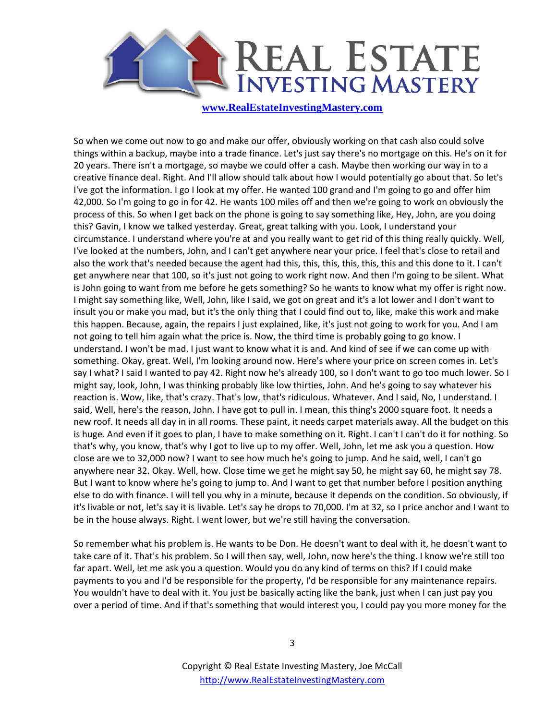

So when we come out now to go and make our offer, obviously working on that cash also could solve things within a backup, maybe into a trade finance. Let's just say there's no mortgage on this. He's on it for 20 years. There isn't a mortgage, so maybe we could offer a cash. Maybe then working our way in to a creative finance deal. Right. And I'll allow should talk about how I would potentially go about that. So let's I've got the information. I go I look at my offer. He wanted 100 grand and I'm going to go and offer him 42,000. So I'm going to go in for 42. He wants 100 miles off and then we're going to work on obviously the process of this. So when I get back on the phone is going to say something like, Hey, John, are you doing this? Gavin, I know we talked yesterday. Great, great talking with you. Look, I understand your circumstance. I understand where you're at and you really want to get rid of this thing really quickly. Well, I've looked at the numbers, John, and I can't get anywhere near your price. I feel that's close to retail and also the work that's needed because the agent had this, this, this, this, this, this and this done to it. I can't get anywhere near that 100, so it's just not going to work right now. And then I'm going to be silent. What is John going to want from me before he gets something? So he wants to know what my offer is right now. I might say something like, Well, John, like I said, we got on great and it's a lot lower and I don't want to insult you or make you mad, but it's the only thing that I could find out to, like, make this work and make this happen. Because, again, the repairs I just explained, like, it's just not going to work for you. And I am not going to tell him again what the price is. Now, the third time is probably going to go know. I understand. I won't be mad. I just want to know what it is and. And kind of see if we can come up with something. Okay, great. Well, I'm looking around now. Here's where your price on screen comes in. Let's say I what? I said I wanted to pay 42. Right now he's already 100, so I don't want to go too much lower. So I might say, look, John, I was thinking probably like low thirties, John. And he's going to say whatever his reaction is. Wow, like, that's crazy. That's low, that's ridiculous. Whatever. And I said, No, I understand. I said, Well, here's the reason, John. I have got to pull in. I mean, this thing's 2000 square foot. It needs a new roof. It needs all day in in all rooms. These paint, it needs carpet materials away. All the budget on this is huge. And even if it goes to plan, I have to make something on it. Right. I can't I can't do it for nothing. So that's why, you know, that's why I got to live up to my offer. Well, John, let me ask you a question. How close are we to 32,000 now? I want to see how much he's going to jump. And he said, well, I can't go anywhere near 32. Okay. Well, how. Close time we get he might say 50, he might say 60, he might say 78. But I want to know where he's going to jump to. And I want to get that number before I position anything else to do with finance. I will tell you why in a minute, because it depends on the condition. So obviously, if it's livable or not, let's say it is livable. Let's say he drops to 70,000. I'm at 32, so I price anchor and I want to be in the house always. Right. I went lower, but we're still having the conversation.

So remember what his problem is. He wants to be Don. He doesn't want to deal with it, he doesn't want to take care of it. That's his problem. So I will then say, well, John, now here's the thing. I know we're still too far apart. Well, let me ask you a question. Would you do any kind of terms on this? If I could make payments to you and I'd be responsible for the property, I'd be responsible for any maintenance repairs. You wouldn't have to deal with it. You just be basically acting like the bank, just when I can just pay you over a period of time. And if that's something that would interest you, I could pay you more money for the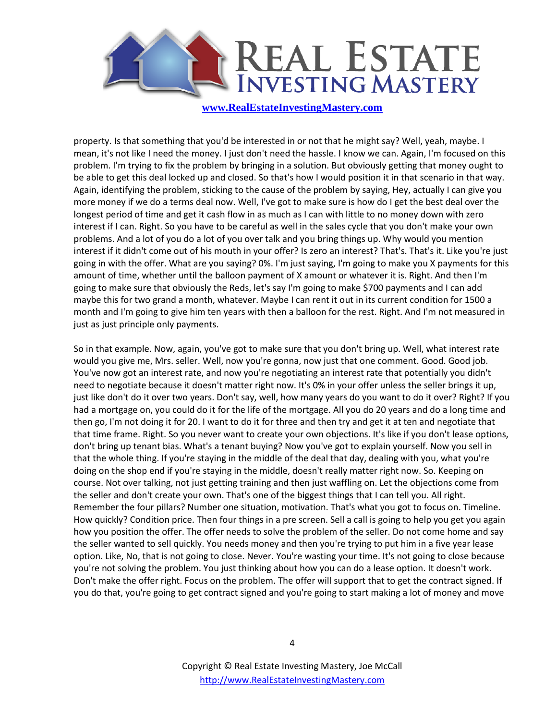

property. Is that something that you'd be interested in or not that he might say? Well, yeah, maybe. I mean, it's not like I need the money. I just don't need the hassle. I know we can. Again, I'm focused on this problem. I'm trying to fix the problem by bringing in a solution. But obviously getting that money ought to be able to get this deal locked up and closed. So that's how I would position it in that scenario in that way. Again, identifying the problem, sticking to the cause of the problem by saying, Hey, actually I can give you more money if we do a terms deal now. Well, I've got to make sure is how do I get the best deal over the longest period of time and get it cash flow in as much as I can with little to no money down with zero interest if I can. Right. So you have to be careful as well in the sales cycle that you don't make your own problems. And a lot of you do a lot of you over talk and you bring things up. Why would you mention interest if it didn't come out of his mouth in your offer? Is zero an interest? That's. That's it. Like you're just going in with the offer. What are you saying? 0%. I'm just saying, I'm going to make you X payments for this amount of time, whether until the balloon payment of X amount or whatever it is. Right. And then I'm going to make sure that obviously the Reds, let's say I'm going to make \$700 payments and I can add maybe this for two grand a month, whatever. Maybe I can rent it out in its current condition for 1500 a month and I'm going to give him ten years with then a balloon for the rest. Right. And I'm not measured in just as just principle only payments.

So in that example. Now, again, you've got to make sure that you don't bring up. Well, what interest rate would you give me, Mrs. seller. Well, now you're gonna, now just that one comment. Good. Good job. You've now got an interest rate, and now you're negotiating an interest rate that potentially you didn't need to negotiate because it doesn't matter right now. It's 0% in your offer unless the seller brings it up, just like don't do it over two years. Don't say, well, how many years do you want to do it over? Right? If you had a mortgage on, you could do it for the life of the mortgage. All you do 20 years and do a long time and then go, I'm not doing it for 20. I want to do it for three and then try and get it at ten and negotiate that that time frame. Right. So you never want to create your own objections. It's like if you don't lease options, don't bring up tenant bias. What's a tenant buying? Now you've got to explain yourself. Now you sell in that the whole thing. If you're staying in the middle of the deal that day, dealing with you, what you're doing on the shop end if you're staying in the middle, doesn't really matter right now. So. Keeping on course. Not over talking, not just getting training and then just waffling on. Let the objections come from the seller and don't create your own. That's one of the biggest things that I can tell you. All right. Remember the four pillars? Number one situation, motivation. That's what you got to focus on. Timeline. How quickly? Condition price. Then four things in a pre screen. Sell a call is going to help you get you again how you position the offer. The offer needs to solve the problem of the seller. Do not come home and say the seller wanted to sell quickly. You needs money and then you're trying to put him in a five year lease option. Like, No, that is not going to close. Never. You're wasting your time. It's not going to close because you're not solving the problem. You just thinking about how you can do a lease option. It doesn't work. Don't make the offer right. Focus on the problem. The offer will support that to get the contract signed. If you do that, you're going to get contract signed and you're going to start making a lot of money and move